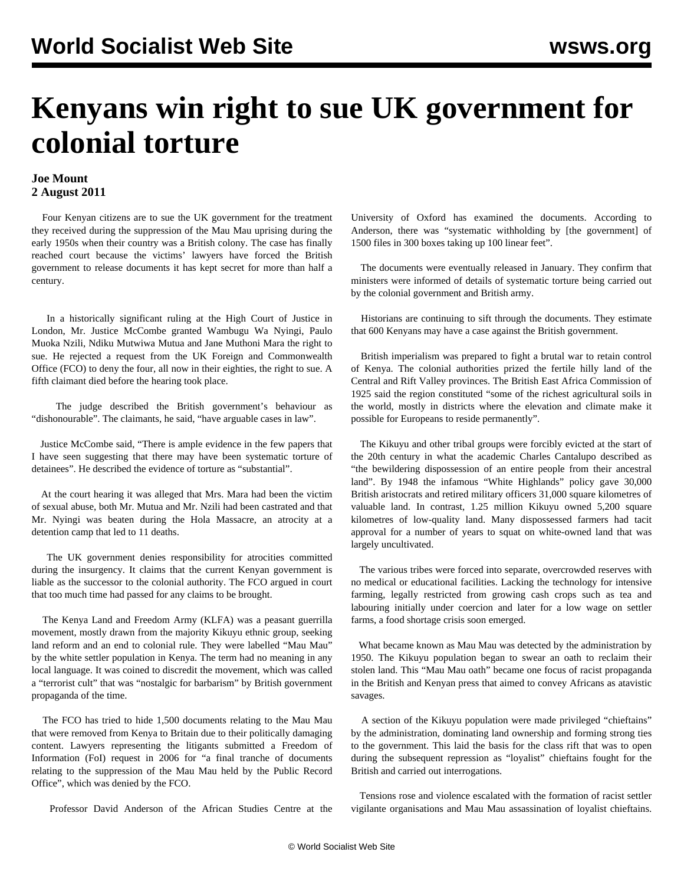## **Kenyans win right to sue UK government for colonial torture**

## **Joe Mount 2 August 2011**

 Four Kenyan citizens are to sue the UK government for the treatment they received during the suppression of the Mau Mau uprising during the early 1950s when their country was a British colony. The case has finally reached court because the victims' lawyers have forced the British government to release documents it has kept secret for more than half a century.

 In a historically significant ruling at the High Court of Justice in London, Mr. Justice McCombe granted Wambugu Wa Nyingi, Paulo Muoka Nzili, Ndiku Mutwiwa Mutua and Jane Muthoni Mara the right to sue. He rejected a request from the UK Foreign and Commonwealth Office (FCO) to deny the four, all now in their eighties, the right to sue. A fifth claimant died before the hearing took place.

 The judge described the British government's behaviour as "dishonourable". The claimants, he said, "have arguable cases in law".

 Justice McCombe said, "There is ample evidence in the few papers that I have seen suggesting that there may have been systematic torture of detainees". He described the evidence of torture as "substantial".

 At the court hearing it was alleged that Mrs. Mara had been the victim of sexual abuse, both Mr. Mutua and Mr. Nzili had been castrated and that Mr. Nyingi was beaten during the Hola Massacre, an atrocity at a detention camp that led to 11 deaths.

 The UK government denies responsibility for atrocities committed during the insurgency. It claims that the current Kenyan government is liable as the successor to the colonial authority. The FCO argued in court that too much time had passed for any claims to be brought.

 The Kenya Land and Freedom Army (KLFA) was a peasant guerrilla movement, mostly drawn from the majority Kikuyu ethnic group, seeking land reform and an end to colonial rule. They were labelled "Mau Mau" by the white settler population in Kenya. The term had no meaning in any local language. It was coined to discredit the movement, which was called a "terrorist cult" that was "nostalgic for barbarism" by British government propaganda of the time.

 The FCO has tried to hide 1,500 documents relating to the Mau Mau that were removed from Kenya to Britain due to their politically damaging content. Lawyers representing the litigants submitted a Freedom of Information (FoI) request in 2006 for "a final tranche of documents relating to the suppression of the Mau Mau held by the Public Record Office", which was denied by the FCO.

Professor David Anderson of the African Studies Centre at the

University of Oxford has examined the documents. According to Anderson, there was "systematic withholding by [the government] of 1500 files in 300 boxes taking up 100 linear feet".

 The documents were eventually released in January. They confirm that ministers were informed of details of systematic torture being carried out by the colonial government and British army.

 Historians are continuing to sift through the documents. They estimate that 600 Kenyans may have a case against the British government.

 British imperialism was prepared to fight a brutal war to retain control of Kenya. The colonial authorities prized the fertile hilly land of the Central and Rift Valley provinces. The British East Africa Commission of 1925 said the region constituted "some of the richest agricultural soils in the world, mostly in districts where the elevation and climate make it possible for Europeans to reside permanently".

 The Kikuyu and other tribal groups were forcibly evicted at the start of the 20th century in what the academic Charles Cantalupo described as "the bewildering dispossession of an entire people from their ancestral land". By 1948 the infamous "White Highlands" policy gave 30,000 British aristocrats and retired military officers 31,000 square kilometres of valuable land. In contrast, 1.25 million Kikuyu owned 5,200 square kilometres of low-quality land. Many dispossessed farmers had tacit approval for a number of years to squat on white-owned land that was largely uncultivated.

 The various tribes were forced into separate, overcrowded reserves with no medical or educational facilities. Lacking the technology for intensive farming, legally restricted from growing cash crops such as tea and labouring initially under coercion and later for a low wage on settler farms, a food shortage crisis soon emerged.

 What became known as Mau Mau was detected by the administration by 1950. The Kikuyu population began to swear an oath to reclaim their stolen land. This "Mau Mau oath" became one focus of racist propaganda in the British and Kenyan press that aimed to convey Africans as atavistic savages.

 A section of the Kikuyu population were made privileged "chieftains" by the administration, dominating land ownership and forming strong ties to the government. This laid the basis for the class rift that was to open during the subsequent repression as "loyalist" chieftains fought for the British and carried out interrogations.

 Tensions rose and violence escalated with the formation of racist settler vigilante organisations and Mau Mau assassination of loyalist chieftains.